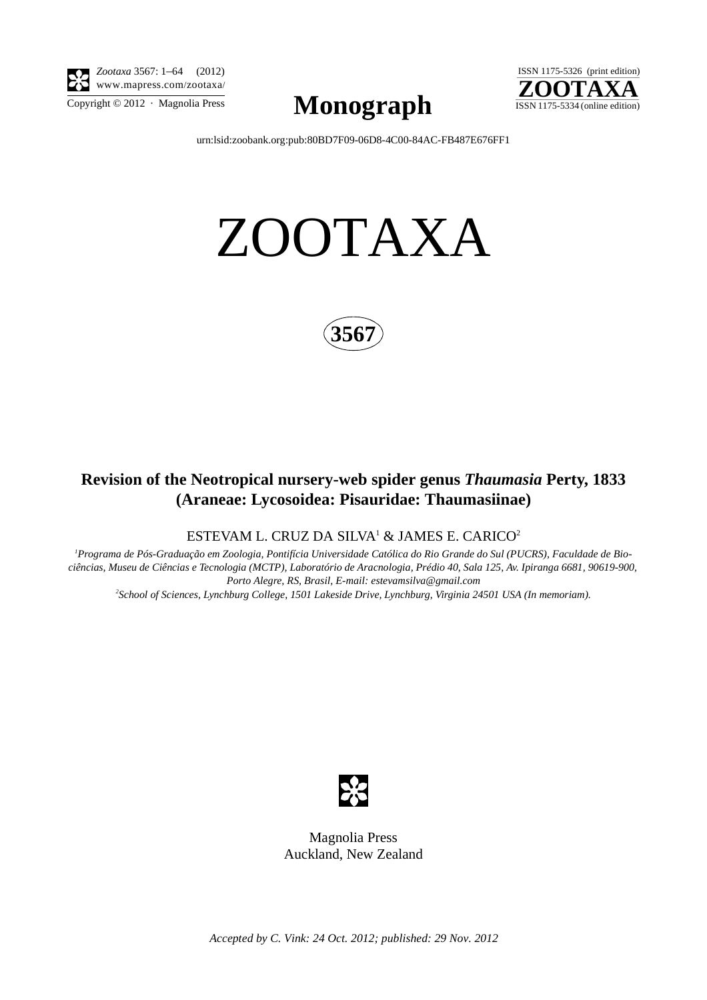

*Zootaxa* 3567: 1–64 (2012) www.mapress.com/zootaxa/

 $\sum_{\text{Copyright © }2012 \text{ } \cdot \text{ Magnolia Press}} \text{Mongraph}$  ISSN 1175-5334 (online edition)



[urn:lsid:zoobank.org:pub:80BD7F09-06D8-4C00-84AC-FB487E676FF1](http://zoobank.org/urn:lsid:zoobank.org:pub:80BD7F09-06D8-4C00-84AC-FB487E676FF1)

# ZOOTAXA



## **Revision of the Neotropical nursery-web spider genus** *Thaumasia* **Perty, 1833 (Araneae: Lycosoidea: Pisauridae: Thaumasiinae)**

ESTEVAM L. CRUZ DA SILVA $^1\,\&$  JAMES E. CARICO $^2$ 

*1 Programa de Pós-Graduação em Zoologia, Pontifícia Universidade Católica do Rio Grande do Sul (PUCRS), Faculdade de Biociências, Museu de Ciências e Tecnologia (MCTP), Laboratório de Aracnologia, Prédio 40, Sala 125, Av. Ipiranga 6681, 90619-900, Porto Alegre, RS, Brasil, E-mail: estevamsilva@gmail.com*

*2 School of Sciences, Lynchburg College, 1501 Lakeside Drive, Lynchburg, Virginia 24501 USA (In memoriam).*



Magnolia Press Auckland, New Zealand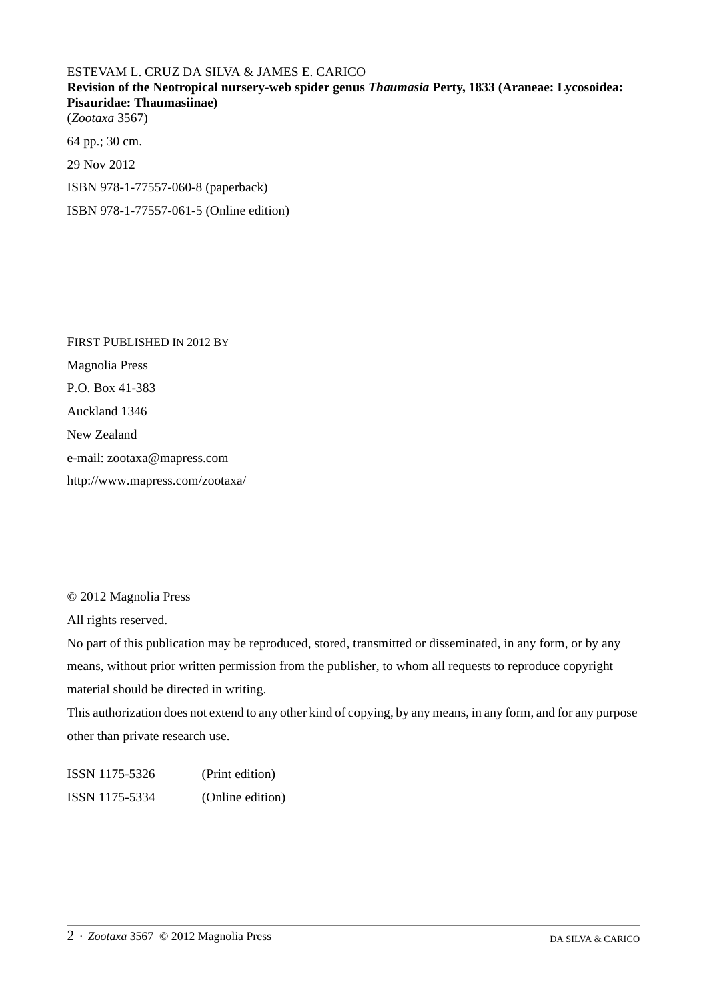## ESTEVAM L. CRUZ DA SILVA & JAMES E. CARICO **Revision of the Neotropical nursery-web spider genus** *Thaumasia* **Perty, 1833 (Araneae: Lycosoidea: Pisauridae: Thaumasiinae)** (*Zootaxa* 3567) 64 pp.; 30 cm.

29 Nov 2012

ISBN 978-1-77557-060-8 (paperback)

ISBN 978-1-77557-061-5 (Online edition)

FIRST PUBLISHED IN 2012 BY Magnolia Press P.O. Box 41-383 Auckland 1346 New Zealand e-mail: zootaxa@mapress.com http://www.mapress.com/zootaxa/

© 2012 Magnolia Press

All rights reserved.

No part of this publication may be reproduced, stored, transmitted or disseminated, in any form, or by any means, without prior written permission from the publisher, to whom all requests to reproduce copyright material should be directed in writing.

This authorization does not extend to any other kind of copying, by any means, in any form, and for any purpose other than private research use.

ISSN 1175-5326 (Print edition) ISSN 1175-5334 (Online edition)